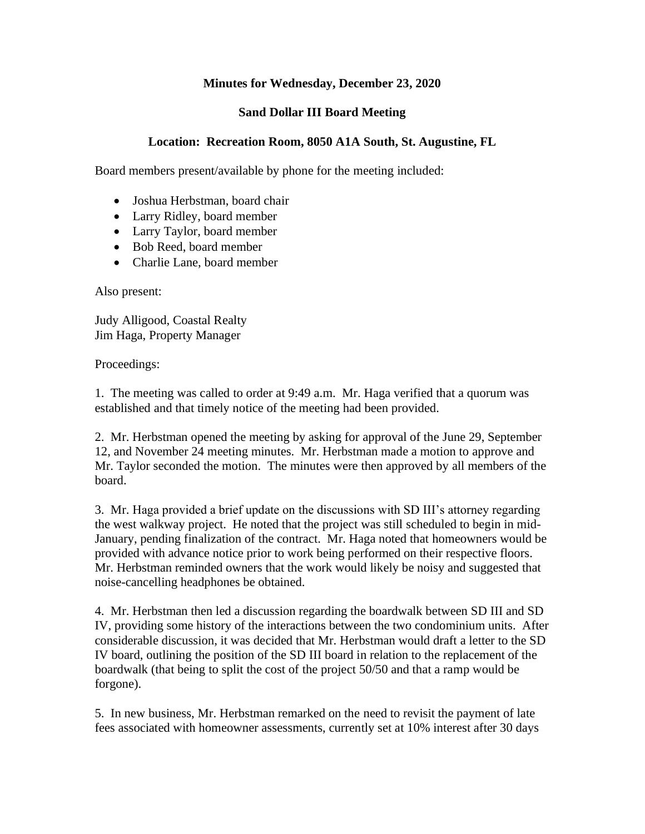## **Minutes for Wednesday, December 23, 2020**

## **Sand Dollar III Board Meeting**

## **Location: Recreation Room, 8050 A1A South, St. Augustine, FL**

Board members present/available by phone for the meeting included:

- Joshua Herbstman, board chair
- Larry Ridley, board member
- Larry Taylor, board member
- Bob Reed, board member
- Charlie Lane, board member

Also present:

Judy Alligood, Coastal Realty Jim Haga, Property Manager

Proceedings:

1. The meeting was called to order at 9:49 a.m. Mr. Haga verified that a quorum was established and that timely notice of the meeting had been provided.

2. Mr. Herbstman opened the meeting by asking for approval of the June 29, September 12, and November 24 meeting minutes. Mr. Herbstman made a motion to approve and Mr. Taylor seconded the motion. The minutes were then approved by all members of the board.

3. Mr. Haga provided a brief update on the discussions with SD III's attorney regarding the west walkway project. He noted that the project was still scheduled to begin in mid-January, pending finalization of the contract. Mr. Haga noted that homeowners would be provided with advance notice prior to work being performed on their respective floors. Mr. Herbstman reminded owners that the work would likely be noisy and suggested that noise-cancelling headphones be obtained.

4. Mr. Herbstman then led a discussion regarding the boardwalk between SD III and SD IV, providing some history of the interactions between the two condominium units. After considerable discussion, it was decided that Mr. Herbstman would draft a letter to the SD IV board, outlining the position of the SD III board in relation to the replacement of the boardwalk (that being to split the cost of the project 50/50 and that a ramp would be forgone).

5. In new business, Mr. Herbstman remarked on the need to revisit the payment of late fees associated with homeowner assessments, currently set at 10% interest after 30 days